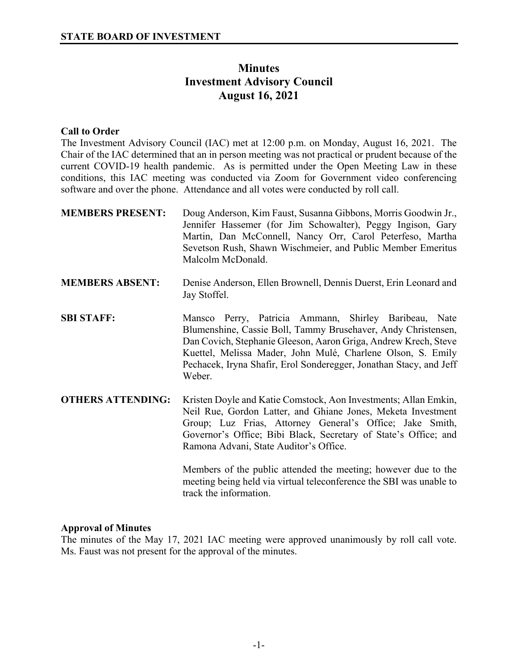# **Minutes Investment Advisory Council August 16, 2021**

### **Call to Order**

The Investment Advisory Council (IAC) met at 12:00 p.m. on Monday, August 16, 2021. The Chair of the IAC determined that an in person meeting was not practical or prudent because of the current COVID-19 health pandemic. As is permitted under the Open Meeting Law in these conditions, this IAC meeting was conducted via Zoom for Government video conferencing software and over the phone. Attendance and all votes were conducted by roll call.

| <b>MEMBERS PRESENT:</b>  | Doug Anderson, Kim Faust, Susanna Gibbons, Morris Goodwin Jr.,<br>Jennifer Hassemer (for Jim Schowalter), Peggy Ingison, Gary<br>Martin, Dan McConnell, Nancy Orr, Carol Peterfeso, Martha<br>Sevetson Rush, Shawn Wischmeier, and Public Member Emeritus<br>Malcolm McDonald.                                                           |
|--------------------------|------------------------------------------------------------------------------------------------------------------------------------------------------------------------------------------------------------------------------------------------------------------------------------------------------------------------------------------|
| <b>MEMBERS ABSENT:</b>   | Denise Anderson, Ellen Brownell, Dennis Duerst, Erin Leonard and<br>Jay Stoffel.                                                                                                                                                                                                                                                         |
| <b>SBI STAFF:</b>        | Mansco Perry, Patricia Ammann, Shirley Baribeau, Nate<br>Blumenshine, Cassie Boll, Tammy Brusehaver, Andy Christensen,<br>Dan Covich, Stephanie Gleeson, Aaron Griga, Andrew Krech, Steve<br>Kuettel, Melissa Mader, John Mulé, Charlene Olson, S. Emily<br>Pechacek, Iryna Shafir, Erol Sonderegger, Jonathan Stacy, and Jeff<br>Weber. |
| <b>OTHERS ATTENDING:</b> | Kristen Doyle and Katie Comstock, Aon Investments; Allan Emkin,<br>Neil Rue, Gordon Latter, and Ghiane Jones, Meketa Investment<br>Group; Luz Frias, Attorney General's Office; Jake Smith,<br>Governor's Office; Bibi Black, Secretary of State's Office; and<br>Ramona Advani, State Auditor's Office.                                 |
|                          | Members of the public attended the meeting; however due to the<br>meeting being held via virtual teleconference the SBI was unable to<br>track the information.                                                                                                                                                                          |

#### **Approval of Minutes**

The minutes of the May 17, 2021 IAC meeting were approved unanimously by roll call vote. Ms. Faust was not present for the approval of the minutes.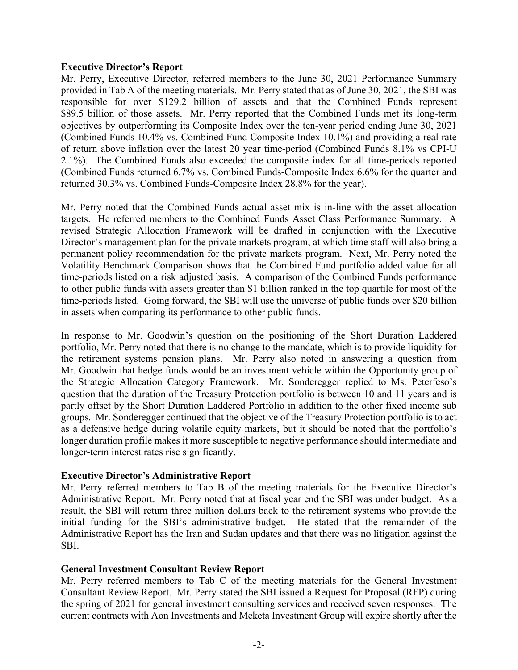#### **Executive Director's Report**

Mr. Perry, Executive Director, referred members to the June 30, 2021 Performance Summary provided in Tab A of the meeting materials. Mr. Perry stated that as of June 30, 2021, the SBI was responsible for over \$129.2 billion of assets and that the Combined Funds represent \$89.5 billion of those assets. Mr. Perry reported that the Combined Funds met its long-term objectives by outperforming its Composite Index over the ten-year period ending June 30, 2021 (Combined Funds 10.4% vs. Combined Fund Composite Index 10.1%) and providing a real rate of return above inflation over the latest 20 year time-period (Combined Funds 8.1% vs CPI-U 2.1%). The Combined Funds also exceeded the composite index for all time-periods reported (Combined Funds returned 6.7% vs. Combined Funds-Composite Index 6.6% for the quarter and returned 30.3% vs. Combined Funds-Composite Index 28.8% for the year).

Mr. Perry noted that the Combined Funds actual asset mix is in-line with the asset allocation targets. He referred members to the Combined Funds Asset Class Performance Summary. A revised Strategic Allocation Framework will be drafted in conjunction with the Executive Director's management plan for the private markets program, at which time staff will also bring a permanent policy recommendation for the private markets program. Next, Mr. Perry noted the Volatility Benchmark Comparison shows that the Combined Fund portfolio added value for all time-periods listed on a risk adjusted basis. A comparison of the Combined Funds performance to other public funds with assets greater than \$1 billion ranked in the top quartile for most of the time-periods listed. Going forward, the SBI will use the universe of public funds over \$20 billion in assets when comparing its performance to other public funds.

In response to Mr. Goodwin's question on the positioning of the Short Duration Laddered portfolio, Mr. Perry noted that there is no change to the mandate, which is to provide liquidity for the retirement systems pension plans. Mr. Perry also noted in answering a question from Mr. Goodwin that hedge funds would be an investment vehicle within the Opportunity group of the Strategic Allocation Category Framework. Mr. Sonderegger replied to Ms. Peterfeso's question that the duration of the Treasury Protection portfolio is between 10 and 11 years and is partly offset by the Short Duration Laddered Portfolio in addition to the other fixed income sub groups. Mr. Sonderegger continued that the objective of the Treasury Protection portfolio is to act as a defensive hedge during volatile equity markets, but it should be noted that the portfolio's longer duration profile makes it more susceptible to negative performance should intermediate and longer-term interest rates rise significantly.

#### **Executive Director's Administrative Report**

Mr. Perry referred members to Tab B of the meeting materials for the Executive Director's Administrative Report. Mr. Perry noted that at fiscal year end the SBI was under budget. As a result, the SBI will return three million dollars back to the retirement systems who provide the initial funding for the SBI's administrative budget. He stated that the remainder of the Administrative Report has the Iran and Sudan updates and that there was no litigation against the SBI.

#### **General Investment Consultant Review Report**

Mr. Perry referred members to Tab C of the meeting materials for the General Investment Consultant Review Report. Mr. Perry stated the SBI issued a Request for Proposal (RFP) during the spring of 2021 for general investment consulting services and received seven responses. The current contracts with Aon Investments and Meketa Investment Group will expire shortly after the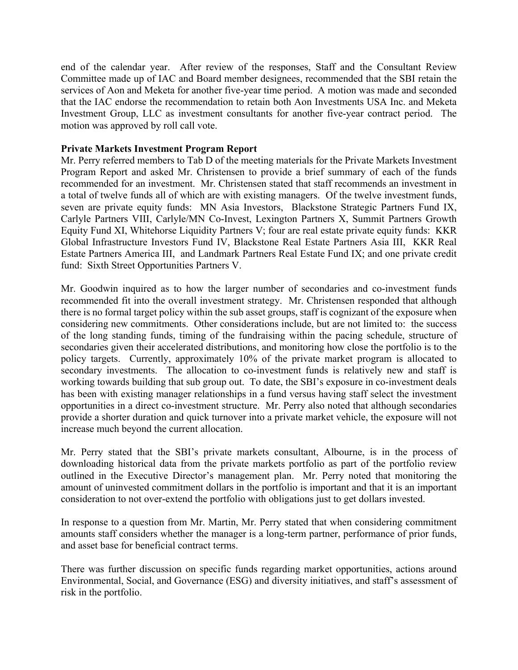end of the calendar year. After review of the responses, Staff and the Consultant Review Committee made up of IAC and Board member designees, recommended that the SBI retain the services of Aon and Meketa for another five-year time period. A motion was made and seconded that the IAC endorse the recommendation to retain both Aon Investments USA Inc. and Meketa Investment Group, LLC as investment consultants for another five-year contract period. The motion was approved by roll call vote.

## **Private Markets Investment Program Report**

Mr. Perry referred members to Tab D of the meeting materials for the Private Markets Investment Program Report and asked Mr. Christensen to provide a brief summary of each of the funds recommended for an investment. Mr. Christensen stated that staff recommends an investment in a total of twelve funds all of which are with existing managers. Of the twelve investment funds, seven are private equity funds: MN Asia Investors, Blackstone Strategic Partners Fund IX, Carlyle Partners VIII, Carlyle/MN Co-Invest, Lexington Partners X, Summit Partners Growth Equity Fund XI, Whitehorse Liquidity Partners V; four are real estate private equity funds: KKR Global Infrastructure Investors Fund IV, Blackstone Real Estate Partners Asia III, KKR Real Estate Partners America III, and Landmark Partners Real Estate Fund IX; and one private credit fund: Sixth Street Opportunities Partners V.

Mr. Goodwin inquired as to how the larger number of secondaries and co-investment funds recommended fit into the overall investment strategy. Mr. Christensen responded that although there is no formal target policy within the sub asset groups, staff is cognizant of the exposure when considering new commitments. Other considerations include, but are not limited to: the success of the long standing funds, timing of the fundraising within the pacing schedule, structure of secondaries given their accelerated distributions, and monitoring how close the portfolio is to the policy targets. Currently, approximately 10% of the private market program is allocated to secondary investments. The allocation to co-investment funds is relatively new and staff is working towards building that sub group out. To date, the SBI's exposure in co-investment deals has been with existing manager relationships in a fund versus having staff select the investment opportunities in a direct co-investment structure. Mr. Perry also noted that although secondaries provide a shorter duration and quick turnover into a private market vehicle, the exposure will not increase much beyond the current allocation.

Mr. Perry stated that the SBI's private markets consultant, Albourne, is in the process of downloading historical data from the private markets portfolio as part of the portfolio review outlined in the Executive Director's management plan. Mr. Perry noted that monitoring the amount of uninvested commitment dollars in the portfolio is important and that it is an important consideration to not over-extend the portfolio with obligations just to get dollars invested.

In response to a question from Mr. Martin, Mr. Perry stated that when considering commitment amounts staff considers whether the manager is a long-term partner, performance of prior funds, and asset base for beneficial contract terms.

There was further discussion on specific funds regarding market opportunities, actions around Environmental, Social, and Governance (ESG) and diversity initiatives, and staff's assessment of risk in the portfolio.